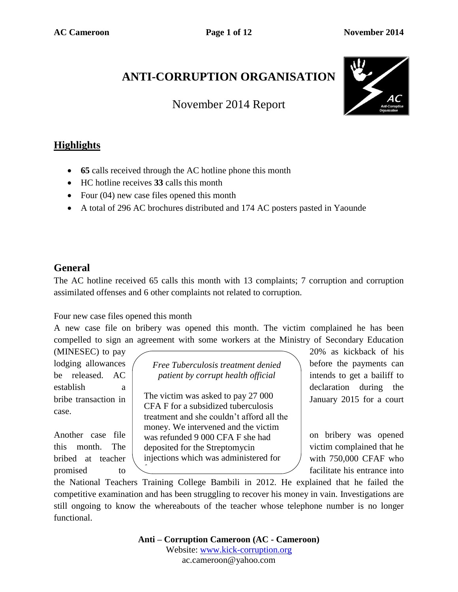## **ANTI-CORRUPTION ORGANISATION**

November 2014 Report



## **Highlights**

- **65** calls received through the AC hotline phone this month
- HC hotline receives **33** calls this month
- Four  $(04)$  new case files opened this month
- A total of 296 AC brochures distributed and 174 AC posters pasted in Yaounde

#### **General**

The AC hotline received 65 calls this month with 13 complaints; 7 corruption and corruption assimilated offenses and 6 other complaints not related to corruption.

Four new case files opened this month

A new case file on bribery was opened this month. The victim complained he has been compelled to sign an agreement with some workers at the Ministry of Secondary Education

case.

lodging allowances *(Free Tuberculosis treatment denied \ before the payments can* be released. AC *patient by corrupt health official* intends to get a bailiff to

bribe transaction in  $\vert$  The victim was asked to pay 2/000  $\vert$  January 2015 for a court Another case file  $\vert$  was refunded 9 000 CFA F she had on bribery was opened this month. The deposited for the Streptomycin victim complained that he bribed at teacher injections which was administered for  $/$  with 750,000 CFAF who The victim was asked to pay 27 000 CFA F for a subsidized tuberculosis treatment and she couldn't afford all the money. We intervened and the victim free.

(MINESEC) to pay 20% as kickback of his establish a declaration during the

promised to the facilitate his entrance into

the National Teachers Training College Bambili in 2012. He explained that he failed the competitive examination and has been struggling to recover his money in vain. Investigations are still ongoing to know the whereabouts of the teacher whose telephone number is no longer functional.

> **Anti – Corruption Cameroon (AC - Cameroon)** Website: [www.kick-corruption.org](http://www.kick-corruption.org/) ac.cameroon@yahoo.com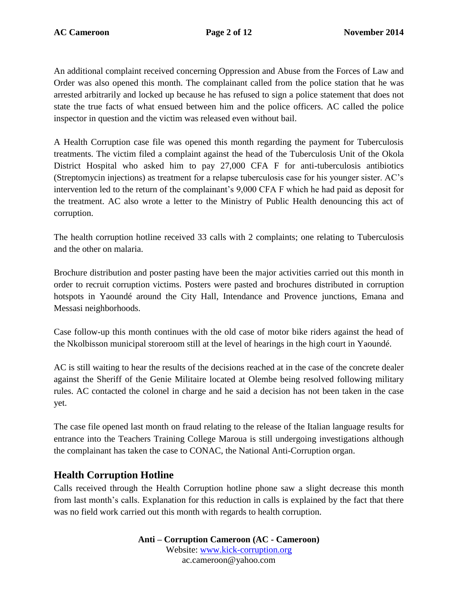An additional complaint received concerning Oppression and Abuse from the Forces of Law and Order was also opened this month. The complainant called from the police station that he was arrested arbitrarily and locked up because he has refused to sign a police statement that does not state the true facts of what ensued between him and the police officers. AC called the police inspector in question and the victim was released even without bail.

A Health Corruption case file was opened this month regarding the payment for Tuberculosis treatments. The victim filed a complaint against the head of the Tuberculosis Unit of the Okola District Hospital who asked him to pay 27,000 CFA F for anti-tuberculosis antibiotics (Streptomycin injections) as treatment for a relapse tuberculosis case for his younger sister. AC's intervention led to the return of the complainant's 9,000 CFA F which he had paid as deposit for the treatment. AC also wrote a letter to the Ministry of Public Health denouncing this act of corruption.

The health corruption hotline received 33 calls with 2 complaints; one relating to Tuberculosis and the other on malaria.

Brochure distribution and poster pasting have been the major activities carried out this month in order to recruit corruption victims. Posters were pasted and brochures distributed in corruption hotspots in Yaoundé around the City Hall, Intendance and Provence junctions, Emana and Messasi neighborhoods.

Case follow-up this month continues with the old case of motor bike riders against the head of the Nkolbisson municipal storeroom still at the level of hearings in the high court in Yaoundé.

AC is still waiting to hear the results of the decisions reached at in the case of the concrete dealer against the Sheriff of the Genie Militaire located at Olembe being resolved following military rules. AC contacted the colonel in charge and he said a decision has not been taken in the case yet.

The case file opened last month on fraud relating to the release of the Italian language results for entrance into the Teachers Training College Maroua is still undergoing investigations although the complainant has taken the case to CONAC, the National Anti-Corruption organ.

#### **Health Corruption Hotline**

Calls received through the Health Corruption hotline phone saw a slight decrease this month from last month's calls. Explanation for this reduction in calls is explained by the fact that there was no field work carried out this month with regards to health corruption.

> **Anti – Corruption Cameroon (AC - Cameroon)** Website: [www.kick-corruption.org](http://www.kick-corruption.org/) ac.cameroon@yahoo.com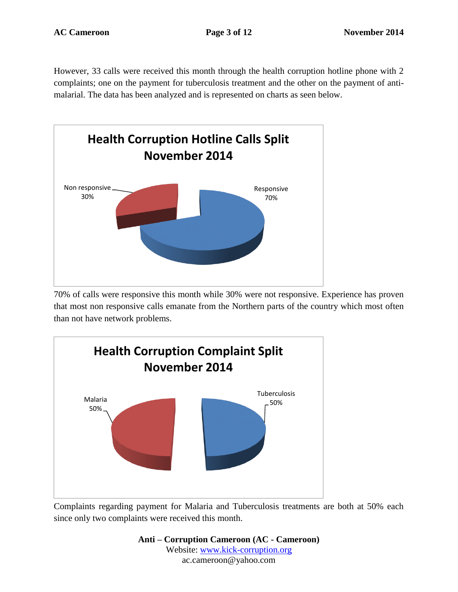However, 33 calls were received this month through the health corruption hotline phone with 2 complaints; one on the payment for tuberculosis treatment and the other on the payment of antimalarial. The data has been analyzed and is represented on charts as seen below.



70% of calls were responsive this month while 30% were not responsive. Experience has proven that most non responsive calls emanate from the Northern parts of the country which most often than not have network problems.



Complaints regarding payment for Malaria and Tuberculosis treatments are both at 50% each since only two complaints were received this month.

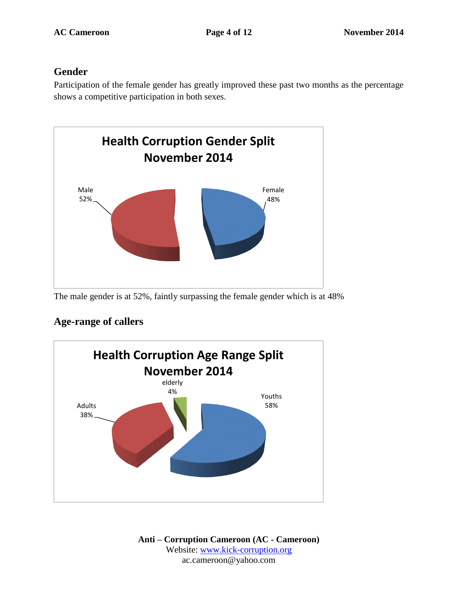#### **Gender**

Participation of the female gender has greatly improved these past two months as the percentage shows a competitive participation in both sexes.



The male gender is at 52%, faintly surpassing the female gender which is at 48%

# Youths Adults 58% 38% elderly 4% **Health Corruption Age Range Split November 2014**

## **Age-range of callers**

**Anti – Corruption Cameroon (AC - Cameroon)** Website: [www.kick-corruption.org](http://www.kick-corruption.org/) ac.cameroon@yahoo.com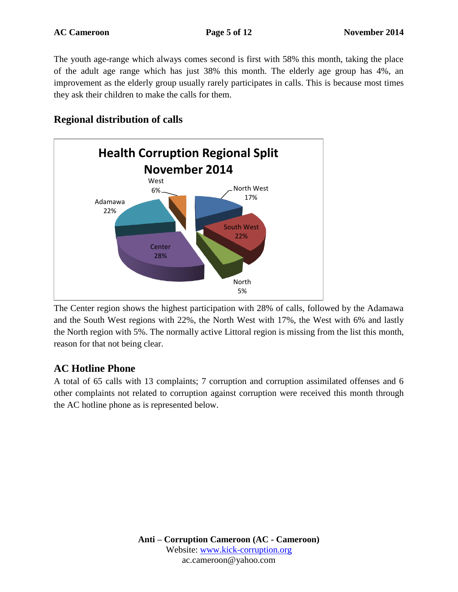The youth age-range which always comes second is first with 58% this month, taking the place of the adult age range which has just 38% this month. The elderly age group has 4%, an improvement as the elderly group usually rarely participates in calls. This is because most times they ask their children to make the calls for them.

#### **Regional distribution of calls**



The Center region shows the highest participation with 28% of calls, followed by the Adamawa and the South West regions with 22%, the North West with 17%, the West with 6% and lastly the North region with 5%. The normally active Littoral region is missing from the list this month, reason for that not being clear.

#### **AC Hotline Phone**

A total of 65 calls with 13 complaints; 7 corruption and corruption assimilated offenses and 6 other complaints not related to corruption against corruption were received this month through the AC hotline phone as is represented below.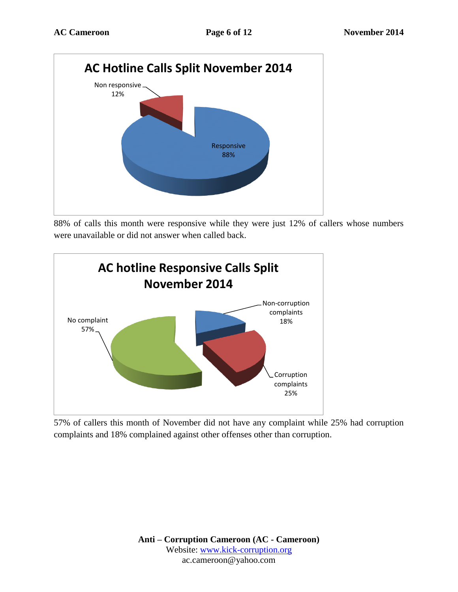

88% of calls this month were responsive while they were just 12% of callers whose numbers were unavailable or did not answer when called back.



57% of callers this month of November did not have any complaint while 25% had corruption complaints and 18% complained against other offenses other than corruption.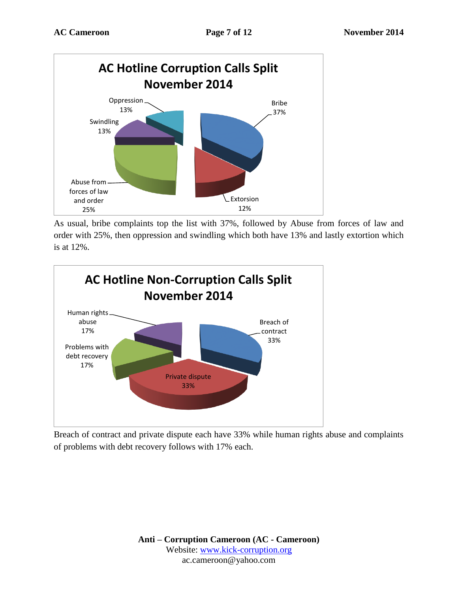

As usual, bribe complaints top the list with 37%, followed by Abuse from forces of law and order with 25%, then oppression and swindling which both have 13% and lastly extortion which is at 12%.



Breach of contract and private dispute each have 33% while human rights abuse and complaints of problems with debt recovery follows with 17% each.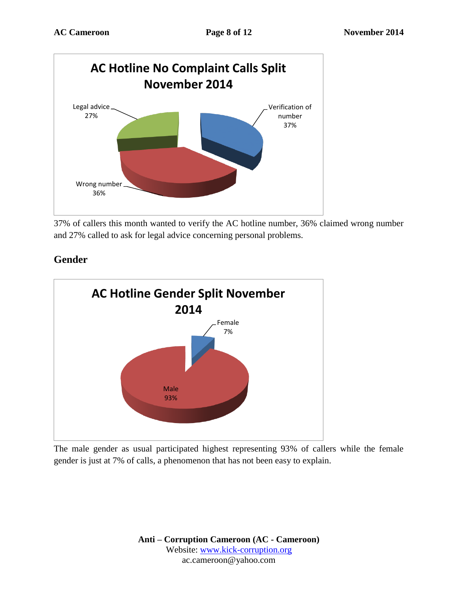

37% of callers this month wanted to verify the AC hotline number, 36% claimed wrong number and 27% called to ask for legal advice concerning personal problems.



**Gender**

The male gender as usual participated highest representing 93% of callers while the female gender is just at 7% of calls, a phenomenon that has not been easy to explain.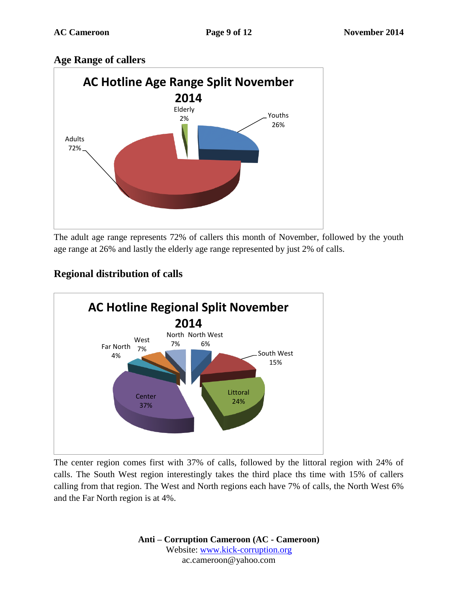#### **Age Range of callers**



The adult age range represents 72% of callers this month of November, followed by the youth age range at 26% and lastly the elderly age range represented by just 2% of calls.



## **Regional distribution of calls**

The center region comes first with 37% of calls, followed by the littoral region with 24% of calls. The South West region interestingly takes the third place ths time with 15% of callers calling from that region. The West and North regions each have 7% of calls, the North West 6% and the Far North region is at 4%.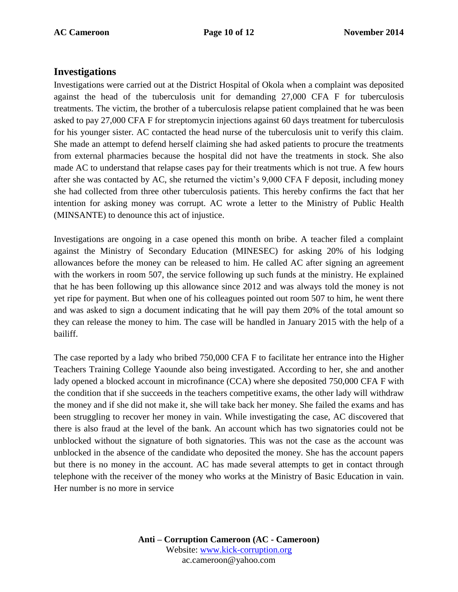#### **Investigations**

Investigations were carried out at the District Hospital of Okola when a complaint was deposited against the head of the tuberculosis unit for demanding 27,000 CFA F for tuberculosis treatments. The victim, the brother of a tuberculosis relapse patient complained that he was been asked to pay 27,000 CFA F for streptomycin injections against 60 days treatment for tuberculosis for his younger sister. AC contacted the head nurse of the tuberculosis unit to verify this claim. She made an attempt to defend herself claiming she had asked patients to procure the treatments from external pharmacies because the hospital did not have the treatments in stock. She also made AC to understand that relapse cases pay for their treatments which is not true. A few hours after she was contacted by AC, she returned the victim's 9,000 CFA F deposit, including money she had collected from three other tuberculosis patients. This hereby confirms the fact that her intention for asking money was corrupt. AC wrote a letter to the Ministry of Public Health (MINSANTE) to denounce this act of injustice.

Investigations are ongoing in a case opened this month on bribe. A teacher filed a complaint against the Ministry of Secondary Education (MINESEC) for asking 20% of his lodging allowances before the money can be released to him. He called AC after signing an agreement with the workers in room 507, the service following up such funds at the ministry. He explained that he has been following up this allowance since 2012 and was always told the money is not yet ripe for payment. But when one of his colleagues pointed out room 507 to him, he went there and was asked to sign a document indicating that he will pay them 20% of the total amount so they can release the money to him. The case will be handled in January 2015 with the help of a bailiff.

The case reported by a lady who bribed 750,000 CFA F to facilitate her entrance into the Higher Teachers Training College Yaounde also being investigated. According to her, she and another lady opened a blocked account in microfinance (CCA) where she deposited 750,000 CFA F with the condition that if she succeeds in the teachers competitive exams, the other lady will withdraw the money and if she did not make it, she will take back her money. She failed the exams and has been struggling to recover her money in vain. While investigating the case, AC discovered that there is also fraud at the level of the bank. An account which has two signatories could not be unblocked without the signature of both signatories. This was not the case as the account was unblocked in the absence of the candidate who deposited the money. She has the account papers but there is no money in the account. AC has made several attempts to get in contact through telephone with the receiver of the money who works at the Ministry of Basic Education in vain. Her number is no more in service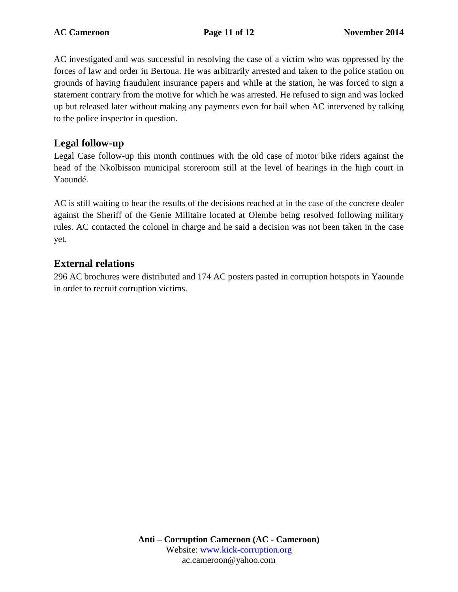AC investigated and was successful in resolving the case of a victim who was oppressed by the forces of law and order in Bertoua. He was arbitrarily arrested and taken to the police station on grounds of having fraudulent insurance papers and while at the station, he was forced to sign a statement contrary from the motive for which he was arrested. He refused to sign and was locked up but released later without making any payments even for bail when AC intervened by talking to the police inspector in question.

#### **Legal follow-up**

Legal Case follow-up this month continues with the old case of motor bike riders against the head of the Nkolbisson municipal storeroom still at the level of hearings in the high court in Yaoundé.

AC is still waiting to hear the results of the decisions reached at in the case of the concrete dealer against the Sheriff of the Genie Militaire located at Olembe being resolved following military rules. AC contacted the colonel in charge and he said a decision was not been taken in the case yet.

#### **External relations**

296 AC brochures were distributed and 174 AC posters pasted in corruption hotspots in Yaounde in order to recruit corruption victims.